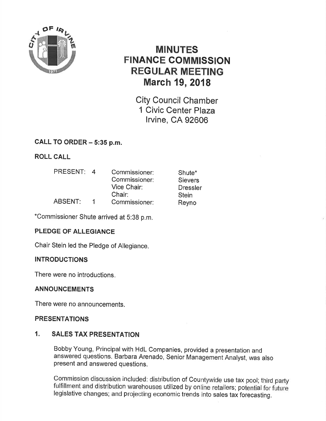

# MINUTES FINANCE COMMISSION REGULAR MEETING March 19,2018

City Council Chamber 1 Civic Center Plaza lrvine, CA 92606

# CALL TO ORDER - 5:35 p.m.

ROLL CALL

| <b>PRESENT:</b> | $\overline{a}$ | Commissioner: | Shute*          |
|-----------------|----------------|---------------|-----------------|
|                 |                | Commissioner: | <b>Sievers</b>  |
|                 |                | Vice Chair:   | <b>Dressler</b> |
|                 |                | Chair:        | <b>Stein</b>    |
| <b>ABSENT:</b>  |                | Commissioner: | Reyno           |

\*Commissioner Shute arrived at 5:38 p.m.

# PLEDGE OF ALLEGIANCE

Chair Stein led the Pledge of Allegiance.

# **INTRODUCTIONS**

There were no introductions.

# ANNOUNGEMENTS

There were no announcements.

# PRESENTATIONS

# 1. SALES TAX PRESENTATION

Bobby Young, Principal with HdL Companies, provided a presentation and answered questions. Barbara Arenado, Senior Management Analyst, was also present and answered questions.

Commission discussion included: distribution of Countywide use tax pool; third party fulfillment and distribution warehouses utilized by online retailers; potential for future legislative changes; and projecting economic trends into sales tax'forecasting.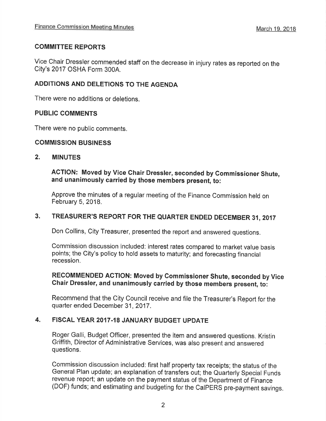# COMMITTEE REPORTS

Vice Chair Dressler commended staff on the decrease in injury rates as reported on the City's 2017 OSHA Form 3004.

# ADDITIONS AND DELETIONS TO THE AGENDA

There were no additions or deletions.

# PUBLIC COMMENTS

There were no public comments.

# COMMISSION BUSINESS

# 2. MINUTES

ACTION: Moved by Vice Chair Dressler, seconded by Gommissioner Shute, and unanimously carried by those members present, to:

Approve the minutes of a regular meeting of the Finance Commission held on February 5, 2018.

# 3. TREASURER'S REPORT FOR THE QUARTER ENDED DECEMBER 31, <sup>2017</sup>

Don Collins, City Treasurer, presented the report and answered questions.

Commission discussion included: interest rates compared to market value basis points; the City's policy to hold assets to maturity; and forecasting financial recession.

# RECOMMENDED AGTION: Moved by Commissioner Shute, seconded by Vice Chair Dressler, and unanimously carried by those members present, to:

Recommend that the City Council receive and file the Treasurer's Report for the quarter ended December 31,2017.

# 4. FISCAL YEAR 2017.18 JANUARY BUDGET UPDATE

Roger Galli, Budget Officer, presented the item and answered questions. Kristin Griffith, Director of Administrative Services, was also present and answered questions.

Commission discussion included: first half property tax receipts; the status of the General Plan update; an explanation of transfers out; the Quarterly Special Funds revenue report; an update on the payment status of the Department of Finance (DOF) funds; and estimating and budgeting for the CaIPERS pre-payment savings.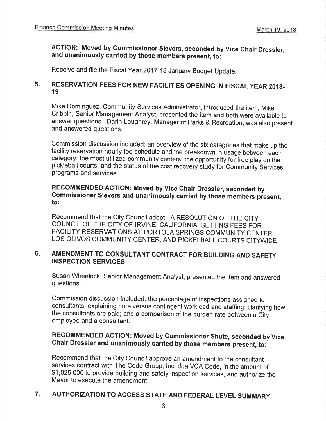# AGTION: Moved by Gommissioner Sievers, seconded by Vice Chair Dressler, and unanimously carried by those members present, to:

Receive and file the Fiscal Year 2017-18 January Budget Update.

#### 5. RESERVATION FEES FOR NEW FACILITIES OPENING IN FISCAL YEAR 2018. 19

Mike Dominguez, Community Services Administrator, introduced the item, Mike Cribbin, Senior Management Analyst, presented the item and both were available to answer questions. Darin Loughrey, Manager of Parks & Recreation, was also present and answered questions.

Commission discussion included: an overview of the six categories that make up the facility reservation hourly fee schedule and the breakdown in usage between each category; the most utilized community centers; the opportunity for free play on the pickleball courts; and the status of the cost recovery study for Community Services programs and services.

# RECOMMENDED ACTION: Moved by vice Ghair Dressler, seconded by Commissioner Sievers and unanimously carried by those members present, to:

Recommend that the city council adopt - A RESOLUTION oF THE clTy COUNCIL OF THE CITY OF IRVINE, CALIFORNIA, SETTING FEES FOR FACILITY RESERVATIONS AT PORTOLA SPRINGS COMMUNITY CENTER, LOS OLIVOS COMMUNITY CENTER, AND PICKELBALL COURTS CITYWIDE

#### AMENDMENT TO CONSULTANT GONTRACT FOR BUILDING AND SAFETY INSPECTION SERVIGES  $6.$

Susan Wheelock, Senior Management Analyst, presented the item and answered questions.

Commission discussion included: the percentage of inspections assigned to consultants; explaining core versus contingent workload and staffing; clarifying how the consultants are paid; and a comparison of the burden rate between a Cityemployee and a consultant.

# RECOMMENDED ACTION: Moved by Commissioner Shute, seconded by Vice Ghair Dressler and unanimously carried by those members present, to:

Recommend that the City Council approve an amendment to the consultant services contract with The Code Group, lnc. dba VCA Code, in the amount of \$1,025,000 to provide building and safety inspection services, and authorize the Mayor to execute the amendment.

#### AUTHORIZATION TO ACCESS STATE AND FEDERAL LEVEL SUMMARY 7